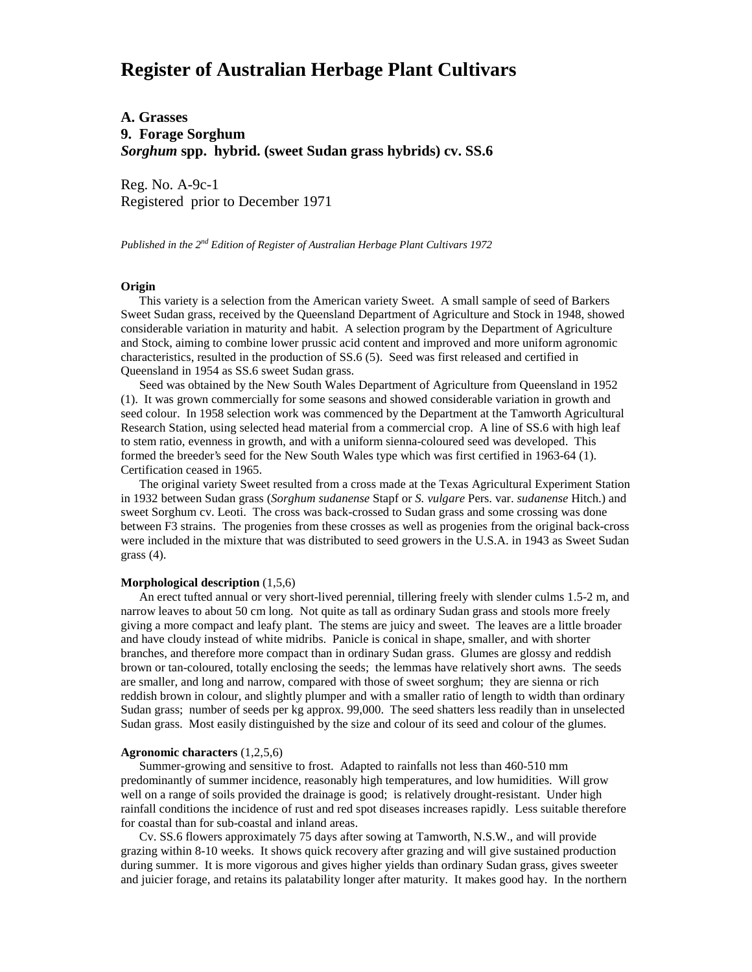# **Register of Australian Herbage Plant Cultivars**

# **A. Grasses 9. Forage Sorghum** *Sorghum* **spp. hybrid. (sweet Sudan grass hybrids) cv. SS.6**

Reg. No. A-9c-1 Registered prior to December 1971

*Published in the 2nd Edition of Register of Australian Herbage Plant Cultivars 1972*

## **Origin**

 This variety is a selection from the American variety Sweet. A small sample of seed of Barkers Sweet Sudan grass, received by the Queensland Department of Agriculture and Stock in 1948, showed considerable variation in maturity and habit. A selection program by the Department of Agriculture and Stock, aiming to combine lower prussic acid content and improved and more uniform agronomic characteristics, resulted in the production of SS.6 (5). Seed was first released and certified in Queensland in 1954 as SS.6 sweet Sudan grass.

 Seed was obtained by the New South Wales Department of Agriculture from Queensland in 1952 (1). It was grown commercially for some seasons and showed considerable variation in growth and seed colour. In 1958 selection work was commenced by the Department at the Tamworth Agricultural Research Station, using selected head material from a commercial crop. A line of SS.6 with high leaf to stem ratio, evenness in growth, and with a uniform sienna-coloured seed was developed. This formed the breeder's seed for the New South Wales type which was first certified in 1963-64 (1). Certification ceased in 1965.

 The original variety Sweet resulted from a cross made at the Texas Agricultural Experiment Station in 1932 between Sudan grass (*Sorghum sudanense* Stapf or *S. vulgare* Pers. var. *sudanense* Hitch.) and sweet Sorghum cv. Leoti. The cross was back-crossed to Sudan grass and some crossing was done between F3 strains. The progenies from these crosses as well as progenies from the original back-cross were included in the mixture that was distributed to seed growers in the U.S.A. in 1943 as Sweet Sudan grass (4).

#### **Morphological description** (1,5,6)

 An erect tufted annual or very short-lived perennial, tillering freely with slender culms 1.5-2 m, and narrow leaves to about 50 cm long. Not quite as tall as ordinary Sudan grass and stools more freely giving a more compact and leafy plant. The stems are juicy and sweet. The leaves are a little broader and have cloudy instead of white midribs. Panicle is conical in shape, smaller, and with shorter branches, and therefore more compact than in ordinary Sudan grass. Glumes are glossy and reddish brown or tan-coloured, totally enclosing the seeds; the lemmas have relatively short awns. The seeds are smaller, and long and narrow, compared with those of sweet sorghum; they are sienna or rich reddish brown in colour, and slightly plumper and with a smaller ratio of length to width than ordinary Sudan grass; number of seeds per kg approx. 99,000. The seed shatters less readily than in unselected Sudan grass. Most easily distinguished by the size and colour of its seed and colour of the glumes.

#### **Agronomic characters** (1,2,5,6)

 Summer-growing and sensitive to frost. Adapted to rainfalls not less than 460-510 mm predominantly of summer incidence, reasonably high temperatures, and low humidities. Will grow well on a range of soils provided the drainage is good; is relatively drought-resistant. Under high rainfall conditions the incidence of rust and red spot diseases increases rapidly. Less suitable therefore for coastal than for sub-coastal and inland areas.

 Cv. SS.6 flowers approximately 75 days after sowing at Tamworth, N.S.W., and will provide grazing within 8-10 weeks. It shows quick recovery after grazing and will give sustained production during summer. It is more vigorous and gives higher yields than ordinary Sudan grass, gives sweeter and juicier forage, and retains its palatability longer after maturity. It makes good hay. In the northern